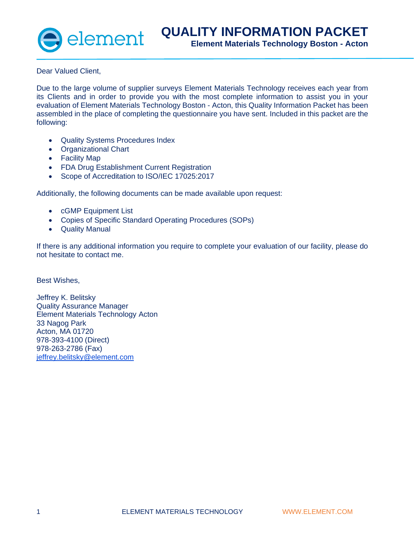

Dear Valued Client,

Due to the large volume of supplier surveys Element Materials Technology receives each year from its Clients and in order to provide you with the most complete information to assist you in your evaluation of Element Materials Technology Boston - Acton, this Quality Information Packet has been assembled in the place of completing the questionnaire you have sent. Included in this packet are the following:

- Quality Systems Procedures Index
- Organizational Chart
- Facility Map
- FDA Drug Establishment Current Registration
- Scope of Accreditation to ISO/IEC 17025:2017

Additionally, the following documents can be made available upon request:

- cGMP Equipment List
- Copies of Specific Standard Operating Procedures (SOPs)
- Quality Manual

If there is any additional information you require to complete your evaluation of our facility, please do not hesitate to contact me.

Best Wishes,

Jeffrey K. Belitsky Quality Assurance Manager Element Materials Technology Acton 33 Nagog Park Acton, MA 01720 978-393-4100 (Direct) 978-263-2786 (Fax) [jeffrey.belitsky@element.com](mailto:jeffrey.belitsky@element.com)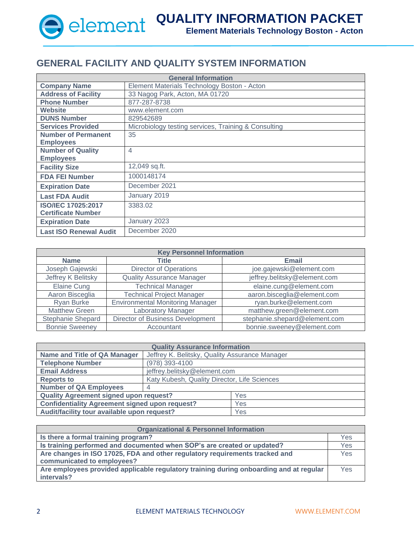

## **GENERAL FACILITY AND QUALITY SYSTEM INFORMATION**

| <b>General Information</b>    |                                                      |  |
|-------------------------------|------------------------------------------------------|--|
| <b>Company Name</b>           | Element Materials Technology Boston - Acton          |  |
| <b>Address of Facility</b>    | 33 Nagog Park, Acton, MA 01720                       |  |
| <b>Phone Number</b>           | 877-287-8738                                         |  |
| <b>Website</b>                | www.element.com                                      |  |
| <b>DUNS Number</b>            | 829542689                                            |  |
| <b>Services Provided</b>      | Microbiology testing services, Training & Consulting |  |
| <b>Number of Permanent</b>    | 35                                                   |  |
| <b>Employees</b>              |                                                      |  |
| <b>Number of Quality</b>      | $\overline{4}$                                       |  |
| <b>Employees</b>              |                                                      |  |
| <b>Facility Size</b>          | 12,049 sq.ft.                                        |  |
| <b>FDA FEI Number</b>         | 1000148174                                           |  |
| <b>Expiration Date</b>        | December 2021                                        |  |
| <b>Last FDA Audit</b>         | January 2019                                         |  |
| <b>ISO/IEC 17025:2017</b>     | 3383.02                                              |  |
| <b>Certificate Number</b>     |                                                      |  |
| <b>Expiration Date</b>        | January 2023                                         |  |
| <b>Last ISO Renewal Audit</b> | December 2020                                        |  |

| <b>Key Personnel Information</b>                                                       |                                  |                               |
|----------------------------------------------------------------------------------------|----------------------------------|-------------------------------|
| <b>Name</b>                                                                            | Title<br><b>Email</b>            |                               |
| Joseph Gajewski                                                                        | <b>Director of Operations</b>    | joe.gajewski@element.com      |
| jeffrey.belitsky@element.com<br>Jeffrey K Belitsky<br><b>Quality Assurance Manager</b> |                                  |                               |
| <b>Technical Manager</b><br>elaine.cung@element.com<br><b>Elaine Cung</b>              |                                  |                               |
| Aaron Bisceglia                                                                        | <b>Technical Project Manager</b> | aaron.bisceglia@element.com   |
| <b>Environmental Monitoring Manager</b><br>ryan.burke@element.com<br><b>Ryan Burke</b> |                                  |                               |
| <b>Matthew Green</b>                                                                   | <b>Laboratory Manager</b>        | matthew.green@element.com     |
| Stephanie Shepard                                                                      | Director of Business Development | stephanie.shepard@element.com |
| <b>Bonnie Sweeney</b>                                                                  | Accountant                       | bonnie.sweeney@element.com    |

| <b>Quality Assurance Information</b>                  |                                              |                                                |  |
|-------------------------------------------------------|----------------------------------------------|------------------------------------------------|--|
| <b>Name and Title of QA Manager</b>                   |                                              | Jeffrey K. Belitsky, Quality Assurance Manager |  |
| <b>Telephone Number</b>                               | (978) 393-4100                               |                                                |  |
| <b>Email Address</b>                                  | jeffrey.belitsky@element.com                 |                                                |  |
| <b>Reports to</b>                                     | Katy Kubesh, Quality Director, Life Sciences |                                                |  |
| <b>Number of QA Employees</b>                         |                                              |                                                |  |
| <b>Quality Agreement signed upon request?</b>         |                                              | Yes                                            |  |
| <b>Confidentiality Agreement signed upon request?</b> |                                              | Yes                                            |  |
| Audit/facility tour available upon request?           |                                              | Yes                                            |  |

| <b>Organizational &amp; Personnel Information</b>                                      |     |
|----------------------------------------------------------------------------------------|-----|
| Is there a formal training program?                                                    | Yes |
| Is training performed and documented when SOP's are created or updated?                |     |
| Are changes in ISO 17025, FDA and other regulatory requirements tracked and            |     |
| communicated to employees?                                                             |     |
| Are employees provided applicable regulatory training during onboarding and at regular |     |
| intervals?                                                                             |     |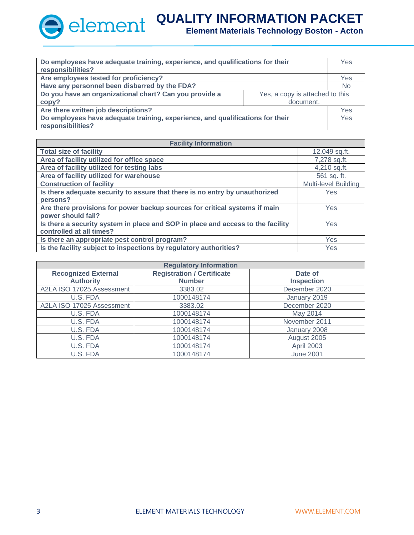| Do employees have adequate training, experience, and qualifications for their |                                 | Yes       |
|-------------------------------------------------------------------------------|---------------------------------|-----------|
| responsibilities?                                                             |                                 |           |
| Are employees tested for proficiency?                                         |                                 | Yes       |
| Have any personnel been disbarred by the FDA?                                 |                                 | <b>No</b> |
| Do you have an organizational chart? Can you provide a                        | Yes, a copy is attached to this |           |
| copy?                                                                         | document.                       |           |
| Are there written job descriptions?                                           |                                 | Yes       |
| Do employees have adequate training, experience, and qualifications for their |                                 | Yes       |
| responsibilities?                                                             |                                 |           |

| <b>Facility Information</b>                                                     |                             |  |
|---------------------------------------------------------------------------------|-----------------------------|--|
| <b>Total size of facility</b>                                                   | 12,049 sq.ft.               |  |
| Area of facility utilized for office space                                      | 7,278 sq.ft.                |  |
| Area of facility utilized for testing labs                                      | 4,210 sq.ft.                |  |
| Area of facility utilized for warehouse                                         | 561 sq. ft.                 |  |
| <b>Construction of facility</b>                                                 | <b>Multi-level Building</b> |  |
| Is there adequate security to assure that there is no entry by unauthorized     | <b>Yes</b>                  |  |
| persons?                                                                        |                             |  |
| Are there provisions for power backup sources for critical systems if main      | Yes                         |  |
| power should fail?                                                              |                             |  |
| Is there a security system in place and SOP in place and access to the facility | Yes                         |  |
| controlled at all times?                                                        |                             |  |
| Is there an appropriate pest control program?                                   | Yes                         |  |
| Is the facility subject to inspections by regulatory authorities?               | Yes                         |  |

| <b>Regulatory Information</b>                                              |               |                   |
|----------------------------------------------------------------------------|---------------|-------------------|
| <b>Registration / Certificate</b><br><b>Recognized External</b><br>Date of |               |                   |
| <b>Authority</b>                                                           | <b>Number</b> | <b>Inspection</b> |
| A2LA ISO 17025 Assessment                                                  | 3383.02       | December 2020     |
| U.S. FDA                                                                   | 1000148174    | January 2019      |
| A2LA ISO 17025 Assessment                                                  | 3383.02       | December 2020     |
| U.S. FDA                                                                   | 1000148174    | May 2014          |
| U.S. FDA                                                                   | 1000148174    | November 2011     |
| U.S. FDA                                                                   | 1000148174    | January 2008      |
| U.S. FDA                                                                   | 1000148174    | August 2005       |
| U.S. FDA                                                                   | 1000148174    | April 2003        |
| U.S. FDA                                                                   | 1000148174    | <b>June 2001</b>  |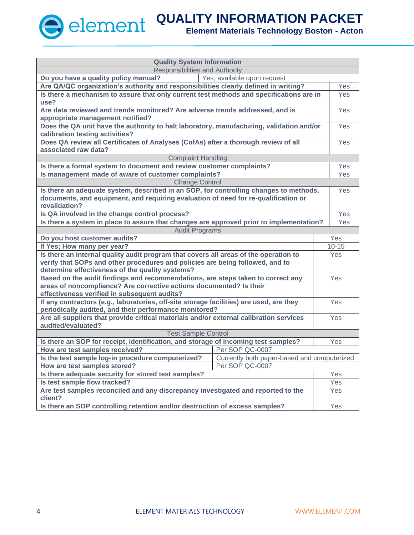| <b>Quality System Information</b>                                                                                |                 |            |  |
|------------------------------------------------------------------------------------------------------------------|-----------------|------------|--|
| <b>Responsibilities and Authority</b>                                                                            |                 |            |  |
| Yes; available upon request<br>Do you have a quality policy manual?                                              |                 |            |  |
| Are QA/QC organization's authority and responsibilities clearly defined in writing?                              |                 |            |  |
| Is there a mechanism to assure that only current test methods and specifications are in<br>use?                  |                 |            |  |
| Are data reviewed and trends monitored? Are adverse trends addressed, and is                                     |                 | Yes        |  |
| appropriate management notified?                                                                                 |                 |            |  |
| Does the QA unit have the authority to halt laboratory, manufacturing, validation and/or                         |                 | Yes        |  |
| calibration testing activities?                                                                                  |                 |            |  |
| Does QA review all Certificates of Analyses (CofAs) after a thorough review of all                               |                 | Yes        |  |
| associated raw data?                                                                                             |                 |            |  |
| <b>Complaint Handling</b>                                                                                        |                 |            |  |
| Is there a formal system to document and review customer complaints?                                             |                 | Yes        |  |
| Is management made of aware of customer complaints?                                                              |                 | Yes        |  |
| <b>Change Control</b>                                                                                            |                 |            |  |
| Is there an adequate system, described in an SOP, for controlling changes to methods,                            |                 | Yes        |  |
| documents, and equipment, and requiring evaluation of need for re-qualification or                               |                 |            |  |
| revalidation?                                                                                                    |                 |            |  |
| Is QA involved in the change control process?                                                                    |                 | Yes        |  |
| Is there a system in place to assure that changes are approved prior to implementation?                          |                 | Yes        |  |
| <b>Audit Programs</b>                                                                                            |                 |            |  |
| Do you host customer audits?                                                                                     |                 | Yes        |  |
| If Yes; How many per year?                                                                                       |                 | $10 - 15$  |  |
| Is there an internal quality audit program that covers all areas of the operation to                             |                 | <b>Yes</b> |  |
| verify that SOPs and other procedures and policies are being followed, and to                                    |                 |            |  |
| determine effectiveness of the quality systems?                                                                  |                 |            |  |
| Based on the audit findings and recommendations, are steps taken to correct any                                  |                 | Yes        |  |
| areas of noncompliance? Are corrective actions documented? Is their                                              |                 |            |  |
| effectiveness verified in subsequent audits?                                                                     |                 |            |  |
| If any contractors (e.g., laboratories, off-site storage facilities) are used, are they                          |                 | Yes        |  |
| periodically audited, and their performance monitored?                                                           |                 |            |  |
| Are all suppliers that provide critical materials and/or external calibration services                           |                 | Yes        |  |
| audited/evaluated?                                                                                               |                 |            |  |
| <b>Test Sample Control</b><br>Is there an SOP for receipt, identification, and storage of incoming test samples? |                 | Yes        |  |
| How are test samples received?                                                                                   | Per SOP QC-0007 |            |  |
| Is the test sample log-in procedure computerized?<br>Currently both paper-based and computerized                 |                 |            |  |
| How are test samples stored?<br>Per SOP QC-0007                                                                  |                 |            |  |
| Is there adequate security for stored test samples?                                                              |                 | Yes        |  |
| Is test sample flow tracked?                                                                                     |                 | Yes        |  |
| Are test samples reconciled and any discrepancy investigated and reported to the                                 |                 | Yes        |  |
| client?                                                                                                          |                 |            |  |
| Is there an SOP controlling retention and/or destruction of excess samples?                                      |                 | Yes        |  |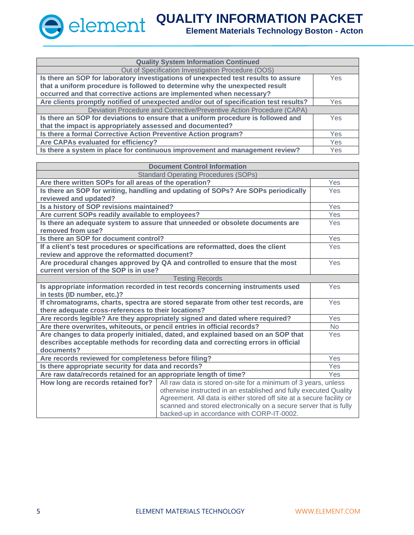| <b>Quality System Information Continued</b>                                           |      |
|---------------------------------------------------------------------------------------|------|
| Out of Specification Investigation Procedure (OOS)                                    |      |
| Is there an SOP for laboratory investigations of unexpected test results to assure    | Yes. |
| that a uniform procedure is followed to determine why the unexpected result           |      |
| occurred and that corrective actions are implemented when necessary?                  |      |
| Are clients promptly notified of unexpected and/or out of specification test results? |      |
| Deviation Procedure and Corrective/Preventive Action Procedure (CAPA)                 |      |
| Is there an SOP for deviations to ensure that a uniform procedure is followed and     | Yes  |
| that the impact is appropriately assessed and documented?                             |      |
| Is there a formal Corrective Action Preventive Action program?                        |      |
| Are CAPAs evaluated for efficiency?                                                   |      |
| Is there a system in place for continuous improvement and management review?          |      |

| <b>Document Control Information</b>                                                |                                                                                   |            |
|------------------------------------------------------------------------------------|-----------------------------------------------------------------------------------|------------|
| <b>Standard Operating Procedures (SOPs)</b>                                        |                                                                                   |            |
| Are there written SOPs for all areas of the operation?                             |                                                                                   | Yes        |
|                                                                                    | Is there an SOP for writing, handling and updating of SOPs? Are SOPs periodically | Yes        |
| reviewed and updated?                                                              |                                                                                   |            |
| Is a history of SOP revisions maintained?                                          |                                                                                   | Yes        |
| Are current SOPs readily available to employees?                                   |                                                                                   | Yes        |
|                                                                                    | Is there an adequate system to assure that unneeded or obsolete documents are     | Yes        |
| removed from use?                                                                  |                                                                                   |            |
| Is there an SOP for document control?                                              |                                                                                   | Yes        |
|                                                                                    | If a client's test procedures or specifications are reformatted, does the client  | Yes        |
| review and approve the reformatted document?                                       |                                                                                   |            |
|                                                                                    | Are procedural changes approved by QA and controlled to ensure that the most      | Yes        |
| current version of the SOP is in use?                                              |                                                                                   |            |
|                                                                                    | <b>Testing Records</b>                                                            |            |
| Is appropriate information recorded in test records concerning instruments used    |                                                                                   | Yes        |
| in tests (ID number, etc.)?                                                        |                                                                                   |            |
| If chromatograms, charts, spectra are stored separate from other test records, are |                                                                                   | Yes        |
| there adequate cross-references to their locations?                                |                                                                                   |            |
| Are records legible? Are they appropriately signed and dated where required?       |                                                                                   | Yes        |
| Are there overwrites, whiteouts, or pencil entries in official records?            |                                                                                   | <b>No</b>  |
| Are changes to data properly initialed, dated, and explained based on an SOP that  |                                                                                   | Yes        |
| describes acceptable methods for recording data and correcting errors in official  |                                                                                   |            |
| documents?                                                                         |                                                                                   |            |
| Are records reviewed for completeness before filing?                               |                                                                                   | Yes        |
| Is there appropriate security for data and records?                                |                                                                                   | Yes        |
| Are raw data/records retained for an appropriate length of time?                   |                                                                                   | <b>Yes</b> |
| How long are records retained for?                                                 | All raw data is stored on-site for a minimum of 3 years, unless                   |            |
|                                                                                    | otherwise instructed in an established and fully executed Quality                 |            |
| Agreement. All data is either stored off site at a secure facility or              |                                                                                   |            |
|                                                                                    | scanned and stored electronically on a secure server that is fully                |            |
|                                                                                    | backed-up in accordance with CORP-IT-0002.                                        |            |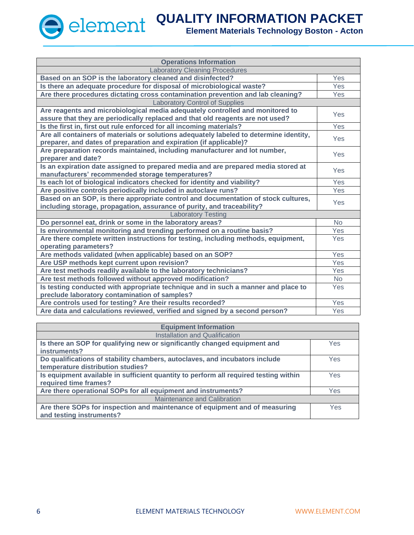

| <b>Operations Information</b>                                                          |           |
|----------------------------------------------------------------------------------------|-----------|
| <b>Laboratory Cleaning Procedures</b>                                                  |           |
| Based on an SOP is the laboratory cleaned and disinfected?                             | Yes       |
| Is there an adequate procedure for disposal of microbiological waste?                  | Yes       |
| Are there procedures dictating cross contamination prevention and lab cleaning?        | Yes       |
| <b>Laboratory Control of Supplies</b>                                                  |           |
| Are reagents and microbiological media adequately controlled and monitored to          | Yes       |
| assure that they are periodically replaced and that old reagents are not used?         |           |
| Is the first in, first out rule enforced for all incoming materials?                   | Yes       |
| Are all containers of materials or solutions adequately labeled to determine identity, | Yes       |
| preparer, and dates of preparation and expiration (if applicable)?                     |           |
| Are preparation records maintained, including manufacturer and lot number,             | Yes       |
| preparer and date?                                                                     |           |
| Is an expiration date assigned to prepared media and are prepared media stored at      | Yes       |
| manufacturers' recommended storage temperatures?                                       |           |
| Is each lot of biological indicators checked for identity and viability?               | Yes       |
| Are positive controls periodically included in autoclave runs?                         | Yes       |
| Based on an SOP, is there appropriate control and documentation of stock cultures,     | Yes       |
| including storage, propagation, assurance of purity, and traceability?                 |           |
| <b>Laboratory Testing</b>                                                              |           |
| Do personnel eat, drink or some in the laboratory areas?                               | <b>No</b> |
| Is environmental monitoring and trending performed on a routine basis?                 | Yes       |
| Are there complete written instructions for testing, including methods, equipment,     |           |
| operating parameters?                                                                  |           |
| Are methods validated (when applicable) based on an SOP?                               | Yes       |
| Are USP methods kept current upon revision?                                            | Yes       |
| Are test methods readily available to the laboratory technicians?                      | Yes       |
| Are test methods followed without approved modification?                               | <b>No</b> |
| Is testing conducted with appropriate technique and in such a manner and place to      | Yes       |
| preclude laboratory contamination of samples?                                          |           |
| Are controls used for testing? Are their results recorded?                             | Yes       |
| Are data and calculations reviewed, verified and signed by a second person?            | Yes       |

| <b>Equipment Information</b>                                                         |     |  |
|--------------------------------------------------------------------------------------|-----|--|
| <b>Installation and Qualification</b>                                                |     |  |
| Is there an SOP for qualifying new or significantly changed equipment and            | Yes |  |
| instruments?                                                                         |     |  |
| Do qualifications of stability chambers, autoclaves, and incubators include          |     |  |
| temperature distribution studies?                                                    |     |  |
| Is equipment available in sufficient quantity to perform all required testing within |     |  |
| required time frames?                                                                |     |  |
| Are there operational SOPs for all equipment and instruments?                        |     |  |
| <b>Maintenance and Calibration</b>                                                   |     |  |
| Are there SOPs for inspection and maintenance of equipment and of measuring          | Yes |  |
| and testing instruments?                                                             |     |  |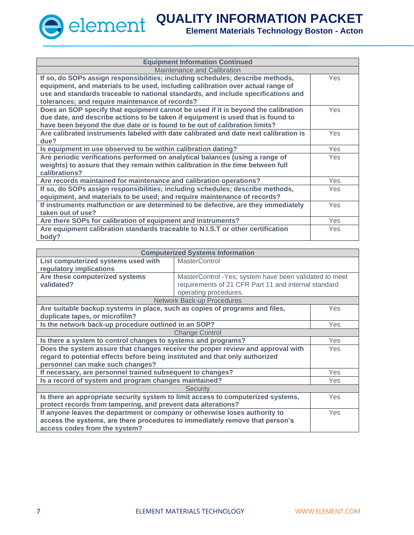| <b>Equipment Information Continued</b>                                                                                                                                                                                                                                                                    |            |  |
|-----------------------------------------------------------------------------------------------------------------------------------------------------------------------------------------------------------------------------------------------------------------------------------------------------------|------------|--|
| Maintenance and Calibration                                                                                                                                                                                                                                                                               |            |  |
| If so, do SOPs assign responsibilities; including schedules; describe methods,<br>equipment, and materials to be used, including calibration over actual range of<br>use and standards traceable to national standards, and include specifications and<br>tolerances; and require maintenance of records? | <b>Yes</b> |  |
| Does an SOP specify that equipment cannot be used if it is beyond the calibration<br>due date, and describe actions to be taken if equipment is used that is found to<br>have been beyond the due date or is found to be out of calibration limits?                                                       | <b>Yes</b> |  |
| Are calibrated instruments labeled with date calibrated and date next calibration is<br>due?                                                                                                                                                                                                              | <b>Yes</b> |  |
| Is equipment in use observed to be within calibration dating?                                                                                                                                                                                                                                             | <b>Yes</b> |  |
| Are periodic verifications performed on analytical balances (using a range of<br>weights) to assure that they remain within calibration in the time between full<br>calibrations?                                                                                                                         | Yes        |  |
| Are records maintained for maintenance and calibration operations?                                                                                                                                                                                                                                        | <b>Yes</b> |  |
| If so, do SOPs assign responsibilities; including schedules; describe methods,<br>equipment, and materials to be used; and require maintenance of records?                                                                                                                                                | Yes        |  |
| If instruments malfunction or are determined to be defective, are they immediately<br>taken out of use?                                                                                                                                                                                                   | Yes        |  |
| Are there SOPs for calibration of equipment and instruments?                                                                                                                                                                                                                                              | Yes        |  |
| Are equipment calibration standards traceable to N.I.S.T or other certification<br>body?                                                                                                                                                                                                                  | <b>Yes</b> |  |

| <b>Computerized Systems Information</b>                                                  |                                                        |            |  |
|------------------------------------------------------------------------------------------|--------------------------------------------------------|------------|--|
| List computerized systems used with                                                      | <b>MasterControl</b>                                   |            |  |
| regulatory implications                                                                  |                                                        |            |  |
| Are these computerized systems                                                           | MasterControl -Yes; system have been validated to meet |            |  |
| validated?                                                                               | requirements of 21 CFR Part 11 and internal standard   |            |  |
|                                                                                          | operating procedures.                                  |            |  |
|                                                                                          | <b>Network Back-up Procedures</b>                      |            |  |
| Are suitable backup systems in place, such as copies of programs and files,              |                                                        | <b>Yes</b> |  |
| duplicate tapes, or microfilm?                                                           |                                                        |            |  |
| Is the network back-up procedure outlined in an SOP?                                     |                                                        |            |  |
| <b>Change Control</b>                                                                    |                                                        |            |  |
| Is there a system to control changes to systems and programs?<br><b>Yes</b>              |                                                        |            |  |
| Does the system assure that changes receive the proper review and approval with          |                                                        |            |  |
| regard to potential effects before being instituted and that only authorized             |                                                        |            |  |
| personnel can make such changes?                                                         |                                                        |            |  |
| If necessary, are personnel trained subsequent to changes?                               |                                                        |            |  |
| Is a record of system and program changes maintained?                                    |                                                        |            |  |
| <b>Security</b>                                                                          |                                                        |            |  |
| Is there an appropriate security system to limit access to computerized systems,<br>Yes  |                                                        |            |  |
| protect records from tampering, and prevent data alterations?                            |                                                        |            |  |
| If anyone leaves the department or company or otherwise loses authority to<br><b>Yes</b> |                                                        |            |  |
| access the systems, are there procedures to immediately remove that person's             |                                                        |            |  |
| access codes from the system?                                                            |                                                        |            |  |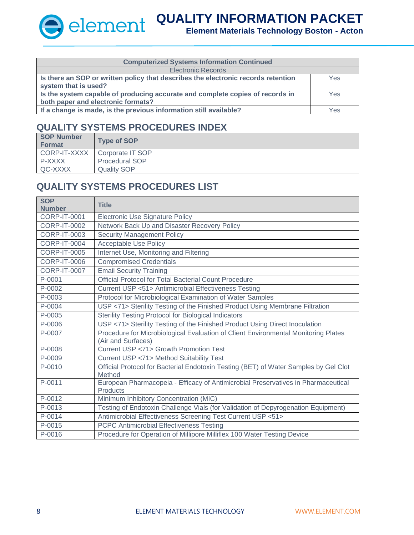#### **Element Materials Technology Boston - Acton**

| <b>Computerized Systems Information Continued</b>                                 |            |  |  |
|-----------------------------------------------------------------------------------|------------|--|--|
| <b>Electronic Records</b>                                                         |            |  |  |
| Is there an SOP or written policy that describes the electronic records retention | Yes.       |  |  |
| system that is used?                                                              |            |  |  |
| Is the system capable of producing accurate and complete copies of records in     | <b>Yes</b> |  |  |
| both paper and electronic formats?                                                |            |  |  |
| If a change is made, is the previous information still available?                 | Yes        |  |  |

### **QUALITY SYSTEMS PROCEDURES INDEX**

| SOP Number<br><b>Format</b> | <b>Type of SOP</b>    |
|-----------------------------|-----------------------|
| CORP-IT-XXXX                | Corporate IT SOP      |
| P-XXXX                      | <b>Procedural SOP</b> |
| QC-XXXX                     | <b>Quality SOP</b>    |

### **QUALITY SYSTEMS PROCEDURES LIST**

| <b>SOP</b><br><b>Number</b> | <b>Title</b>                                                                                             |
|-----------------------------|----------------------------------------------------------------------------------------------------------|
| <b>CORP-IT-0001</b>         | <b>Electronic Use Signature Policy</b>                                                                   |
| <b>CORP-IT-0002</b>         | Network Back Up and Disaster Recovery Policy                                                             |
| <b>CORP-IT-0003</b>         | <b>Security Management Policy</b>                                                                        |
| CORP-IT-0004                | <b>Acceptable Use Policy</b>                                                                             |
| <b>CORP-IT-0005</b>         | Internet Use, Monitoring and Filtering                                                                   |
| <b>CORP-IT-0006</b>         | <b>Compromised Credentials</b>                                                                           |
| <b>CORP-IT-0007</b>         | <b>Email Security Training</b>                                                                           |
| P-0001                      | <b>Official Protocol for Total Bacterial Count Procedure</b>                                             |
| P-0002                      | Current USP <51> Antimicrobial Effectiveness Testing                                                     |
| P-0003                      | Protocol for Microbiological Examination of Water Samples                                                |
| P-0004                      | USP <71> Sterility Testing of the Finished Product Using Membrane Filtration                             |
| P-0005                      | Sterility Testing Protocol for Biological Indicators                                                     |
| P-0006                      | USP <71> Sterility Testing of the Finished Product Using Direct Inoculation                              |
| P-0007                      | Procedure for Microbiological Evaluation of Client Environmental Monitoring Plates<br>(Air and Surfaces) |
| P-0008                      | Current USP <71> Growth Promotion Test                                                                   |
| P-0009                      | Current USP <71> Method Suitability Test                                                                 |
| P-0010                      | Official Protocol for Bacterial Endotoxin Testing (BET) of Water Samples by Gel Clot<br>Method           |
| P-0011                      | European Pharmacopeia - Efficacy of Antimicrobial Preservatives in Pharmaceutical<br><b>Products</b>     |
| P-0012                      | Minimum Inhibitory Concentration (MIC)                                                                   |
| P-0013                      | Testing of Endotoxin Challenge Vials (for Validation of Depyrogenation Equipment)                        |
| P-0014                      | Antimicrobial Effectiveness Screening Test Current USP <51>                                              |
| P-0015                      | <b>PCPC Antimicrobial Effectiveness Testing</b>                                                          |
| P-0016                      | Procedure for Operation of Millipore Milliflex 100 Water Testing Device                                  |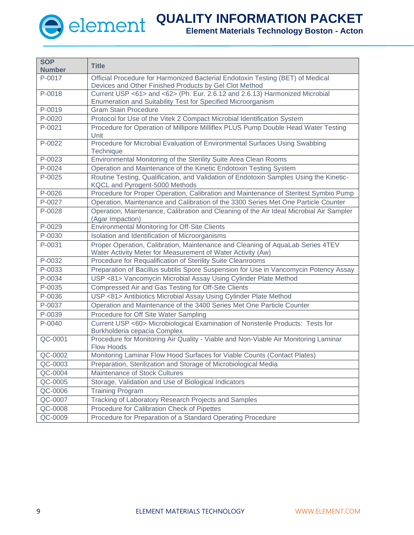| <b>SOP</b><br><b>Number</b> | <b>Title</b>                                                                                                                                  |
|-----------------------------|-----------------------------------------------------------------------------------------------------------------------------------------------|
| P-0017                      | Official Procedure for Harmonized Bacterial Endotoxin Testing (BET) of Medical                                                                |
|                             | Devices and Other Finished Products by Gel Clot Method                                                                                        |
| P-0018                      | Current USP <61> and <62> (Ph. Eur. 2.6.12 and 2.6.13) Harmonized Microbial                                                                   |
|                             | Enumeration and Suitability Test for Specified Microorganism                                                                                  |
| P-0019                      | <b>Gram Stain Procedure</b>                                                                                                                   |
| P-0020                      | Protocol for Use of the Vitek 2 Compact Microbial Identification System                                                                       |
| P-0021                      | Procedure for Operation of Millipore Milliflex PLUS Pump Double Head Water Testing<br>Unit                                                    |
| P-0022                      | Procedure for Microbial Evaluation of Environmental Surfaces Using Swabbing<br>Technique                                                      |
| P-0023                      | Environmental Monitoring of the Sterility Suite Area Clean Rooms                                                                              |
| P-0024                      | Operation and Maintenance of the Kinetic Endotoxin Testing System                                                                             |
| P-0025                      | Routine Testing, Qualification, and Validation of Endotoxin Samples Using the Kinetic-<br>KQCL and Pyrogent-5000 Methods                      |
| P-0026                      | Procedure for Proper Operation, Calibration and Maintenance of Steritest Symbio Pump                                                          |
| P-0027                      | Operation, Maintenance and Calibration of the 3300 Series Met One Particle Counter                                                            |
| P-0028                      | Operation, Maintenance, Calibration and Cleaning of the Air Ideal Microbial Air Sampler<br>(Agar Impaction)                                   |
| P-0029                      | <b>Environmental Monitoring for Off-Site Clients</b>                                                                                          |
| P-0030                      | Isolation and Identification of Microorganisms                                                                                                |
| P-0031                      | Proper Operation, Calibration, Maintenance and Cleaning of AquaLab Series 4TEV<br>Water Activity Meter for Measurement of Water Activity (Aw) |
| P-0032                      | Procedure for Requalification of Sterility Suite Cleanrooms                                                                                   |
| P-0033                      | Preparation of Bacillus subtilis Spore Suspension for Use in Vancomycin Potency Assay                                                         |
| P-0034                      | USP <81> Vancomycin Microbial Assay Using Cylinder Plate Method                                                                               |
| P-0035                      | Compressed Air and Gas Testing for Off-Site Clients                                                                                           |
| P-0036                      | USP <81> Antibiotics Microbial Assay Using Cylinder Plate Method                                                                              |
| P-0037                      | Operation and Maintenance of the 3400 Series Met One Particle Counter                                                                         |
| P-0039                      | Procedure for Off Site Water Sampling                                                                                                         |
| P-0040                      | Current USP <60> Microbiological Examination of Nonsterile Products: Tests for<br>Burkholderia cepacia Complex                                |
| $Q$ C-0001                  | Procedure for Monitoring Air Quality - Viable and Non-Viable Air Monitoring Laminar<br>Flow Hoods                                             |
| QC-0002                     | Monitoring Laminar Flow Hood Surfaces for Viable Counts (Contact Plates)                                                                      |
| QC-0003                     | Preparation, Sterilization and Storage of Microbiological Media                                                                               |
| QC-0004                     | Maintenance of Stock Cultures                                                                                                                 |
| QC-0005                     | Storage, Validation and Use of Biological Indicators                                                                                          |
| QC-0006                     | <b>Training Program</b>                                                                                                                       |
| QC-0007                     | Tracking of Laboratory Research Projects and Samples                                                                                          |
| QC-0008                     | Procedure for Calibration Check of Pipettes                                                                                                   |
| QC-0009                     | Procedure for Preparation of a Standard Operating Procedure                                                                                   |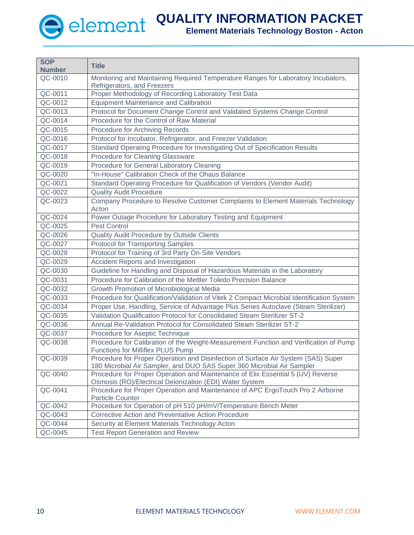

| <b>SOP</b><br><b>Number</b> | <b>Title</b>                                                                                                                                                |
|-----------------------------|-------------------------------------------------------------------------------------------------------------------------------------------------------------|
| QC-0010                     | Monitoring and Maintaining Required Temperature Ranges for Laboratory Incubators,                                                                           |
|                             | Refrigerators, and Freezers                                                                                                                                 |
| QC-0011                     | Proper Methodology of Recording Laboratory Test Data                                                                                                        |
| QC-0012                     | <b>Equipment Maintenance and Calibration</b>                                                                                                                |
| QC-0013                     | Protocol for Document Change Control and Validated Systems Change Control                                                                                   |
| QC-0014                     | Procedure for the Control of Raw Material                                                                                                                   |
| QC-0015                     | Procedure for Archiving Records                                                                                                                             |
| QC-0016                     | Protocol for Incubator, Refrigerator, and Freezer Validation                                                                                                |
| QC-0017                     | Standard Operating Procedure for Investigating Out of Specification Results                                                                                 |
| QC-0018                     | Procedure for Cleaning Glassware                                                                                                                            |
| QC-0019                     | Procedure for General Laboratory Cleaning                                                                                                                   |
| QC-0020                     | "In-House" Calibration Check of the Ohaus Balance                                                                                                           |
| QC-0021                     | Standard Operating Procedure for Qualification of Vendors (Vendor Audit)                                                                                    |
| $QC-0022$                   | <b>Quality Audit Procedure</b>                                                                                                                              |
| QC-0023                     | Company Procedure to Resolve Customer Complaints to Element Materials Technology<br>Acton                                                                   |
| QC-0024                     | Power Outage Procedure for Laboratory Testing and Equipment                                                                                                 |
| QC-0025                     | <b>Pest Control</b>                                                                                                                                         |
| QC-0026                     | Quality Audit Procedure by Outside Clients                                                                                                                  |
| QC-0027                     | <b>Protocol for Transporting Samples</b>                                                                                                                    |
| QC-0028                     | Protocol for Training of 3rd Party On-Site Vendors                                                                                                          |
| QC-0029                     | Accident Reports and Investigation                                                                                                                          |
| QC-0030                     | Guideline for Handling and Disposal of Hazardous Materials in the Laboratory                                                                                |
| QC-0031                     | Procedure for Calibration of the Mettler Toledo Precision Balance                                                                                           |
| QC-0032                     | Growth Promotion of Microbiological Media                                                                                                                   |
| QC-0033                     | Procedure for Qualification/Validation of Vitek 2 Compact Microbial Identification System                                                                   |
| QC-0034                     | Proper Use, Handling, Service of Advantage Plus Series Autoclave (Steam Sterilizer)                                                                         |
| QC-0035                     | Validation Qualification Protocol for Consolidated Steam Sterilizer ST-2                                                                                    |
| QC-0036                     | Annual Re-Validation Protocol for Consolidated Steam Sterilizer ST-2                                                                                        |
| QC-0037                     | Procedure for Aseptic Technique                                                                                                                             |
| QC-0038                     | Procedure for Calibration of the Weight-Measurement Function and Verification of Pump<br><b>Functions for Milliflex PLUS Pump</b>                           |
| QC-0039                     | Procedure for Proper Operation and Disinfection of Surface Air System (SAS) Super<br>180 Microbial Air Sampler, and DUO SAS Super 360 Microbial Air Sampler |
| QC-0040                     | Procedure for Proper Operation and Maintenance of Elix Essential 5 (UV) Reverse<br>Osmosis (RO)/Electrical Deionization (EDI) Water System                  |
| QC-0041                     | Procedure for Proper Operation and Maintenance of APC ErgoTouch Pro 2 Airborne<br><b>Particle Counter</b>                                                   |
| QC-0042                     | Procedure for Operation of pH 510 pH/mV/Temperature Bench Meter                                                                                             |
| QC-0043                     | <b>Corrective Action and Preventative Action Procedure</b>                                                                                                  |
| QC-0044                     | Security at Element Materials Technology Acton                                                                                                              |
| QC-0045                     | <b>Test Report Generation and Review</b>                                                                                                                    |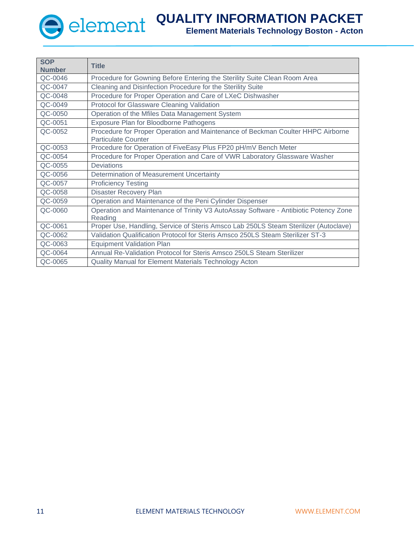┱

**SOP**

**QUALITY INFORMATION PACKET**

| SUP.<br><b>Number</b> | <b>Title</b>                                                                                                  |
|-----------------------|---------------------------------------------------------------------------------------------------------------|
| QC-0046               | Procedure for Gowning Before Entering the Sterility Suite Clean Room Area                                     |
| QC-0047               | Cleaning and Disinfection Procedure for the Sterility Suite                                                   |
| QC-0048               | Procedure for Proper Operation and Care of LXeC Dishwasher                                                    |
| QC-0049               | Protocol for Glassware Cleaning Validation                                                                    |
| QC-0050               | Operation of the Mfiles Data Management System                                                                |
| QC-0051               | Exposure Plan for Bloodborne Pathogens                                                                        |
| QC-0052               | Procedure for Proper Operation and Maintenance of Beckman Coulter HHPC Airborne<br><b>Particulate Counter</b> |
| QC-0053               | Procedure for Operation of FiveEasy Plus FP20 pH/mV Bench Meter                                               |
| QC-0054               | Procedure for Proper Operation and Care of VWR Laboratory Glassware Washer                                    |
| QC-0055               | <b>Deviations</b>                                                                                             |
| QC-0056               | Determination of Measurement Uncertainty                                                                      |
| QC-0057               | <b>Proficiency Testing</b>                                                                                    |
| QC-0058               | <b>Disaster Recovery Plan</b>                                                                                 |
| QC-0059               | Operation and Maintenance of the Peni Cylinder Dispenser                                                      |
| QC-0060               | Operation and Maintenance of Trinity V3 AutoAssay Software - Antibiotic Potency Zone<br>Reading               |
| QC-0061               | Proper Use, Handling, Service of Steris Amsco Lab 250LS Steam Sterilizer (Autoclave)                          |
| QC-0062               | Validation Qualification Protocol for Steris Amsco 250LS Steam Sterilizer ST-3                                |
| QC-0063               | <b>Equipment Validation Plan</b>                                                                              |
| QC-0064               | Annual Re-Validation Protocol for Steris Amsco 250LS Steam Sterilizer                                         |
| QC-0065               | Quality Manual for Element Materials Technology Acton                                                         |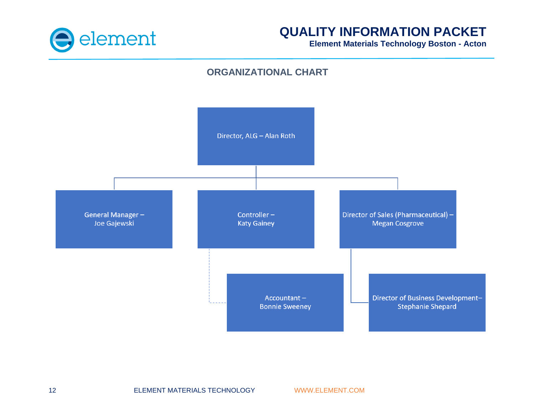

**Element Materials Technology Boston - Acton**

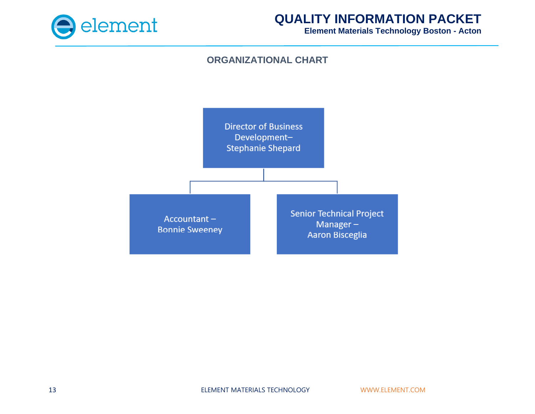

**Element Materials Technology Boston - Acton**

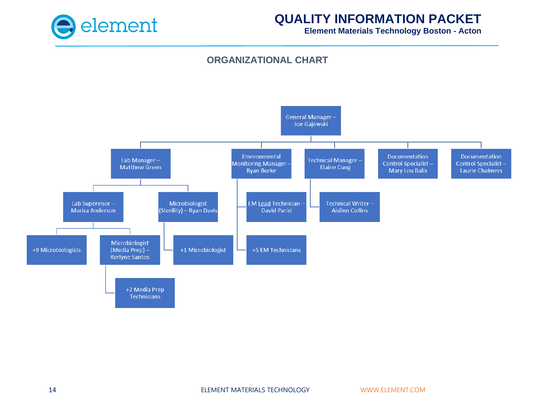

**Element Materials Technology Boston - Acton**

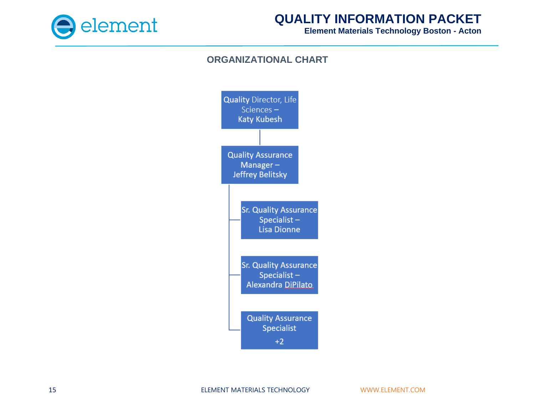

**Element Materials Technology Boston - Acton**

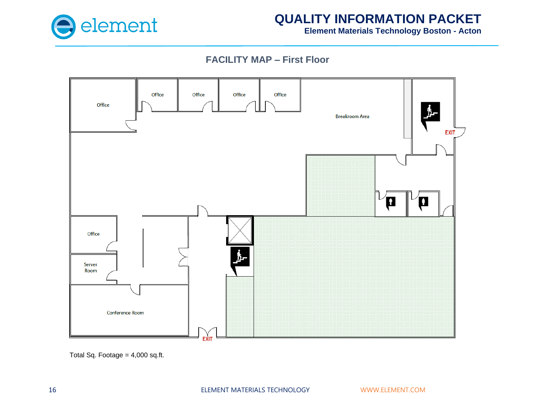

**Element Materials Technology Boston - Acton**

## **FACILITY MAP – First Floor**



Total Sq. Footage = 4,000 sq.ft.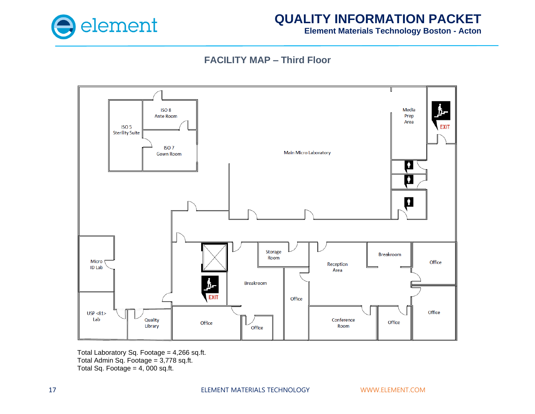

**Element Materials Technology Boston - Acton**

## **FACILITY MAP – Third Floor**



Total Laboratory Sq. Footage =  $4,266$  sq.ft. Total Admin Sq. Footage = 3,778 sq.ft. Total Sq. Footage =  $4,000$  sq.ft.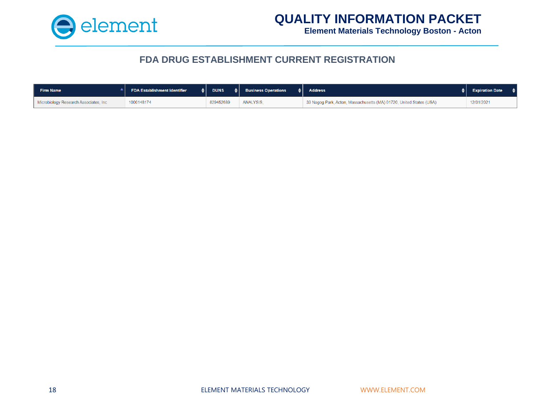

**Element Materials Technology Boston - Acton**

### **FDA DRUG ESTABLISHMENT CURRENT REGISTRATION**

| Firm Name                             | <b>FDA Establishment Identifier</b> | <b>DUNS</b> | $\triangleq$ Business Operations | <b>Address</b>                                                      | <b>Expiration Date</b> |
|---------------------------------------|-------------------------------------|-------------|----------------------------------|---------------------------------------------------------------------|------------------------|
| Microbiology Research Associates, Inc | 1000148174                          | 829452689   | <b>ANALYSIS</b>                  | 33 Nagog Park, Acton, Massachusetts (MA) 01720, United States (USA) | 12/31/2021             |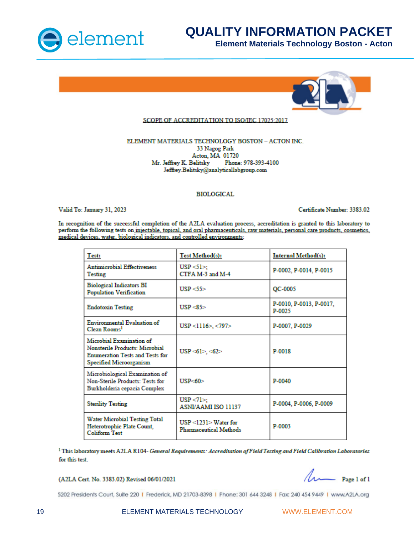

**Element Materials Technology Boston - Acton**



#### SCOPE OF ACCREDITATION TO ISO/IEC 17025:2017

#### ELEMENT MATERIALS TECHNOLOGY BOSTON - ACTON INC. 33 Nagog Park Acton, MA 01720 Mr. Jeffrey K. Belitsky Phone: 978-393-4100 Jeffrey.Belitsky@analyticallabgroup.com

#### **BIOLOGICAL**

Valid To: January 31, 2023

Certificate Number: 3383.02

In recognition of the successful completion of the A2LA evaluation process, accreditation is granted to this laboratory to perform the following tests on injectable, topical, and oral pharmaceuticals, raw materials, personal care products, cosmetics, medical devices, water, biological indicators, and controlled environments:

| Test:                                                                                                                           | Test Method(s):                                  | Internal Method(s):               |
|---------------------------------------------------------------------------------------------------------------------------------|--------------------------------------------------|-----------------------------------|
| <b>Antimicrobial Effectiveness</b><br>Testing                                                                                   | $USP < 1$ :<br>CTFA M-3 and M-4                  | P-0002, P-0014, P-0015            |
| <b>Biological Indicators BI</b><br>Population Verification                                                                      | USP < 55                                         | QC-0005                           |
| <b>Endotoxin Testing</b>                                                                                                        | USP < 85                                         | P-0010, P-0013, P-0017,<br>P-0025 |
| Environmental Evaluation of<br>Clean Rooms <sup>1</sup>                                                                         | $USP < 1116$ , <797>                             | P-0007, P-0029                    |
| Microbial Examination of<br>Nonsterile Products: Microbial<br><b>Enumeration Tests and Tests for</b><br>Specified Microorganism | USP $\leq 61$ $\leq$ $\leq 62$ $\geq$            | P-0018                            |
| Microbiological Examination of<br>Non-Sterile Products: Tests for<br>Burkholderia cepacia Complex                               | IISP<60                                          | P-0040                            |
| <b>Sterility Testing</b>                                                                                                        | $USP < 71$ :<br><b>ASNI/AAMI ISO 11137</b>       | P-0004, P-0006, P-0009            |
| Water Microbial Testing Total<br>Heterotrophic Plate Count,<br><b>Coliform Test</b>                                             | USP < 1231 > Water for<br>Pharmaceutical Methods | P-0003                            |

<sup>1</sup>This laboratory meets A2LA R104- General Requirements: Accreditation of Field Testing and Field Calibration Laboratories for this test.

#### (A2LA Cert. No. 3383.02) Revised 06/01/2021

 $\sim$  Page 1 of 1

5202 Presidents Court, Suite 220 | Frederick, MD 21703-8398 | Phone: 301 644 3248 | Fax: 240 454 9449 | www.A2LA.org